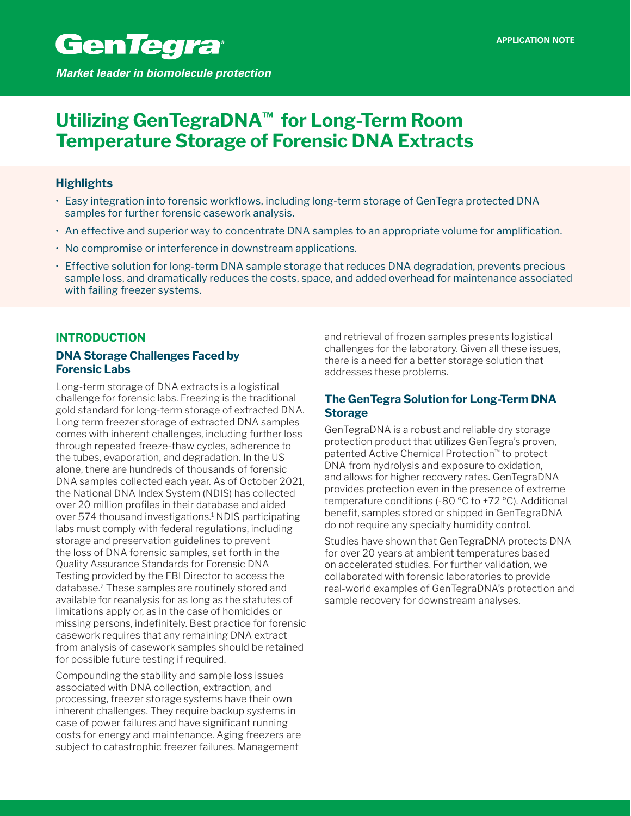# **Utilizing GenTegraDNA™ for Long-Term Room Temperature Storage of Forensic DNA Extracts**

# **Highlights**

- • Easy integration into forensic workflows, including long-term storage of GenTegra protected DNA samples for further forensic casework analysis.
- • An effective and superior way to concentrate DNA samples to an appropriate volume for amplification.
- No compromise or interference in downstream applications.
- Effective solution for long-term DNA sample storage that reduces DNA degradation, prevents precious sample loss, and dramatically reduces the costs, space, and added overhead for maintenance associated with failing freezer systems.

# **INTRODUCTION**

# **DNA Storage Challenges Faced by Forensic Labs**

Long-term storage of DNA extracts is a logistical challenge for forensic labs. Freezing is the traditional gold standard for long-term storage of extracted DNA. Long term freezer storage of extracted DNA samples comes with inherent challenges, including further loss through repeated freeze-thaw cycles, adherence to the tubes, evaporation, and degradation. In the US alone, there are hundreds of thousands of forensic DNA samples collected each year. As of October 2021, the National DNA Index System (NDIS) has collected over 20 million profiles in their database and aided over 574 thousand investigations.1 NDIS participating labs must comply with federal regulations, including storage and preservation guidelines to prevent the loss of DNA forensic samples, set forth in the Quality Assurance Standards for Forensic DNA Testing provided by the FBI Director to access the database.2 These samples are routinely stored and available for reanalysis for as long as the statutes of limitations apply or, as in the case of homicides or missing persons, indefinitely. Best practice for forensic casework requires that any remaining DNA extract from analysis of casework samples should be retained for possible future testing if required.

Compounding the stability and sample loss issues associated with DNA collection, extraction, and processing, freezer storage systems have their own inherent challenges. They require backup systems in case of power failures and have significant running costs for energy and maintenance. Aging freezers are subject to catastrophic freezer failures. Management

and retrieval of frozen samples presents logistical challenges for the laboratory. Given all these issues, there is a need for a better storage solution that addresses these problems.

# **The GenTegra Solution for Long-Term DNA Storage**

GenTegraDNA is a robust and reliable dry storage protection product that utilizes GenTegra's proven, patented Active Chemical Protection™ to protect DNA from hydrolysis and exposure to oxidation, and allows for higher recovery rates. GenTegraDNA provides protection even in the presence of extreme temperature conditions (-80 ºC to +72 ºC). Additional benefit, samples stored or shipped in GenTegraDNA do not require any specialty humidity control.

Studies have shown that GenTegraDNA protects DNA for over 20 years at ambient temperatures based on accelerated studies. For further validation, we collaborated with forensic laboratories to provide real-world examples of GenTegraDNA's protection and sample recovery for downstream analyses.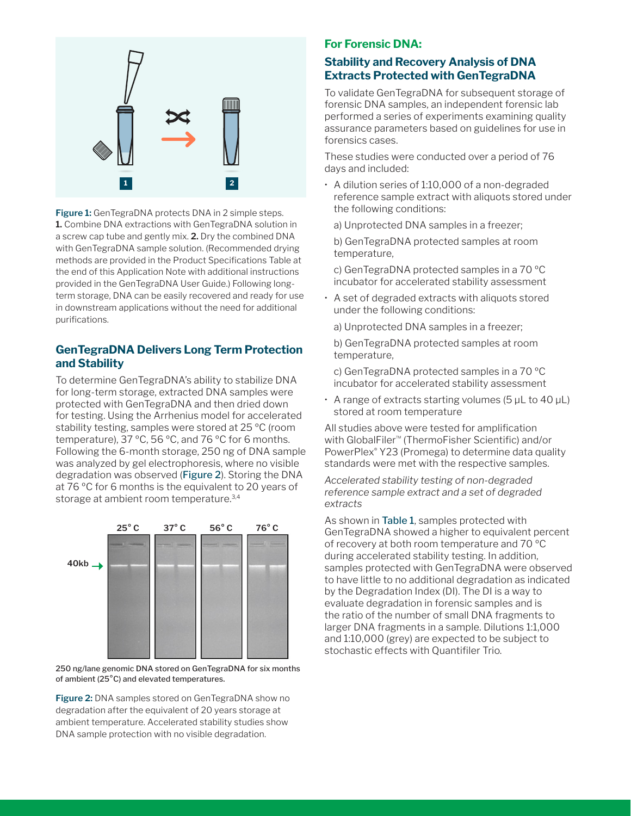

**Figure 1:** GenTegraDNA protects DNA in 2 simple steps. **1.** Combine DNA extractions with GenTegraDNA solution in a screw cap tube and gently mix. **2.** Dry the combined DNA with GenTegraDNA sample solution. (Recommended drying methods are provided in the Product Specifications Table at the end of this Application Note with additional instructions provided in the GenTegraDNA User Guide.) Following longterm storage, DNA can be easily recovered and ready for use in downstream applications without the need for additional purifications.

# **GenTegraDNA Delivers Long Term Protection and Stability**

To determine GenTegraDNA's ability to stabilize DNA for long-term storage, extracted DNA samples were protected with GenTegraDNA and then dried down for testing. Using the Arrhenius model for accelerated stability testing, samples were stored at 25 ºC (room temperature), 37 ºC, 56 ºC, and 76 ºC for 6 months. Following the 6-month storage, 250 ng of DNA sample was analyzed by gel electrophoresis, where no visible degradation was observed (Figure 2). Storing the DNA at 76 ºC for 6 months is the equivalent to 20 years of storage at ambient room temperature.<sup>3,4</sup>



250 ng/lane genomic DNA stored on GenTegraDNA for six months of ambient (25°C) and elevated temperatures.

**Figure 2:** DNA samples stored on GenTegraDNA show no degradation after the equivalent of 20 years storage at ambient temperature. Accelerated stability studies show DNA sample protection with no visible degradation.

## **For Forensic DNA:**

# **Stability and Recovery Analysis of DNA Extracts Protected with GenTegraDNA**

To validate GenTegraDNA for subsequent storage of forensic DNA samples, an independent forensic lab performed a series of experiments examining quality assurance parameters based on guidelines for use in forensics cases.

These studies were conducted over a period of 76 days and included:

• A dilution series of 1:10,000 of a non-degraded reference sample extract with aliquots stored under the following conditions:

a) Unprotected DNA samples in a freezer;

b) GenTegraDNA protected samples at room temperature,

c) GenTegraDNA protected samples in a 70 ºC incubator for accelerated stability assessment

• A set of degraded extracts with aliquots stored under the following conditions:

a) Unprotected DNA samples in a freezer;

b) GenTegraDNA protected samples at room temperature,

c) GenTegraDNA protected samples in a 70 ºC incubator for accelerated stability assessment

 $\cdot$  A range of extracts starting volumes (5  $\mu$ L to 40  $\mu$ L) stored at room temperature

All studies above were tested for amplification with GlobalFiler™ (ThermoFisher Scientific) and/or PowerPlex® Y23 (Promega) to determine data quality standards were met with the respective samples.

*Accelerated stability testing of non-degraded reference sample extract and a set of degraded extracts*

As shown in Table 1, samples protected with GenTegraDNA showed a higher to equivalent percent of recovery at both room temperature and 70 ºC during accelerated stability testing. In addition, samples protected with GenTegraDNA were observed to have little to no additional degradation as indicated by the Degradation Index (DI). The DI is a way to evaluate degradation in forensic samples and is the ratio of the number of small DNA fragments to larger DNA fragments in a sample. Dilutions 1:1,000 and 1:10,000 (grey) are expected to be subject to stochastic effects with Quantifiler Trio.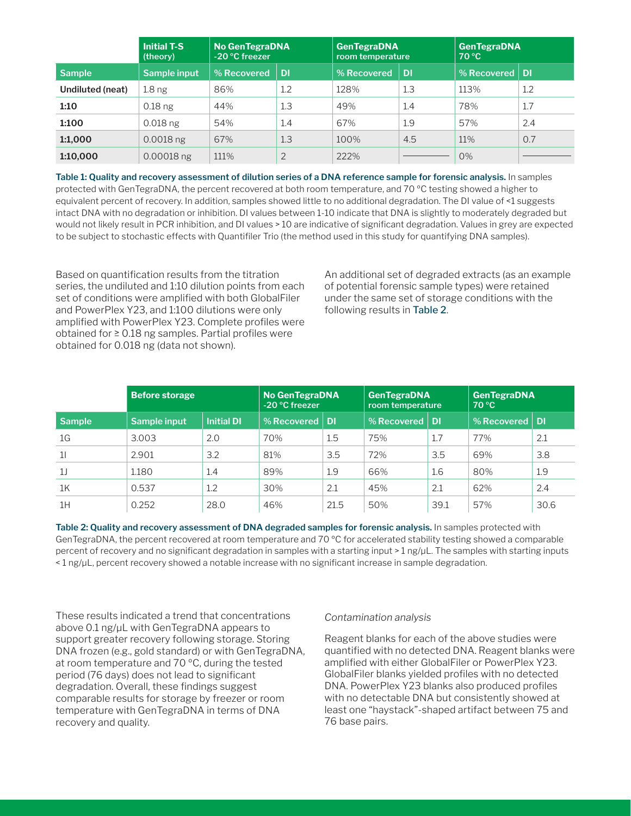|                  | <b>Initial T-S</b><br>(theory) | <b>No GenTegraDNA</b><br>-20 °C freezer |                | <b>GenTegraDNA</b><br>room temperature |      | <b>GenTegraDNA</b><br>70 °C |     |
|------------------|--------------------------------|-----------------------------------------|----------------|----------------------------------------|------|-----------------------------|-----|
| <b>Sample</b>    | Sample input                   | % Recovered                             | <b>DI</b>      | % Recovered                            | l Di | % Recovered $\vert$ DI      |     |
| Undiluted (neat) | 1.8 <sub>ng</sub>              | 86%                                     | 1.2            | 128%                                   | 1.3  | 113%                        | 1.2 |
| 1:10             | $0.18$ ng                      | 44%                                     | 1.3            | 49%                                    | 1.4  | 78%                         | 1.7 |
| 1:100            | $0.018$ ng                     | 54%                                     | 1.4            | 67%                                    | 1.9  | 57%                         | 2.4 |
| 1:1,000          | $0.0018$ ng                    | 67%                                     | 1.3            | 100%                                   | 4.5  | 11%                         | 0.7 |
| 1:10,000         | $0.00018$ ng                   | 111%                                    | $\overline{2}$ | 222%                                   |      | 0%                          |     |

**Table 1: Quality and recovery assessment of dilution series of a DNA reference sample for forensic analysis.** In samples protected with GenTegraDNA, the percent recovered at both room temperature, and 70 ºC testing showed a higher to equivalent percent of recovery. In addition, samples showed little to no additional degradation. The DI value of <1 suggests intact DNA with no degradation or inhibition. DI values between 1-10 indicate that DNA is slightly to moderately degraded but would not likely result in PCR inhibition, and DI values > 10 are indicative of significant degradation. Values in grey are expected to be subject to stochastic effects with Quantifiler Trio (the method used in this study for quantifying DNA samples).

Based on quantification results from the titration series, the undiluted and 1:10 dilution points from each set of conditions were amplified with both GlobalFiler and PowerPlex Y23, and 1:100 dilutions were only amplified with PowerPlex Y23. Complete profiles were obtained for ≥ 0.18 ng samples. Partial profiles were obtained for 0.018 ng (data not shown).

An additional set of degraded extracts (as an example of potential forensic sample types) were retained under the same set of storage conditions with the following results in Table 2.

|                | <b>Before storage</b> |                   | <b>No GenTegraDNA</b><br>-20 °C freezer |           | <b>GenTegraDNA</b><br>room temperature |      | <b>GenTegraDNA</b><br>70 °C |      |
|----------------|-----------------------|-------------------|-----------------------------------------|-----------|----------------------------------------|------|-----------------------------|------|
| <b>Sample</b>  | Sample input          | <b>Initial DI</b> | % Recovered                             | <b>DI</b> | % Recovered $\vert$ DI                 |      | % Recovered   DI            |      |
| 1G             | 3.003                 | 2.0               | 70%                                     | 1.5       | 75%                                    | 1.7  | 77%                         | 2.1  |
| 11             | 2.901                 | 3.2               | 81%                                     | 3.5       | 72%                                    | 3.5  | 69%                         | 3.8  |
| 1 <sub>J</sub> | 1.180                 | 1.4               | 89%                                     | 1.9       | 66%                                    | 1.6  | 80%                         | 1.9  |
| 1 <sup>K</sup> | 0.537                 | 1.2               | 30%                                     | 2.1       | 45%                                    | 2.1  | 62%                         | 2.4  |
| 1H             | 0.252                 | 28.0              | 46%                                     | 21.5      | 50%                                    | 39.1 | 57%                         | 30.6 |

**Table 2: Quality and recovery assessment of DNA degraded samples for forensic analysis.** In samples protected with GenTegraDNA, the percent recovered at room temperature and 70 ºC for accelerated stability testing showed a comparable percent of recovery and no significant degradation in samples with a starting input > 1 ng/μL. The samples with starting inputs < 1 ng/μL, percent recovery showed a notable increase with no significant increase in sample degradation.

These results indicated a trend that concentrations above 0.1 ng/μL with GenTegraDNA appears to support greater recovery following storage. Storing DNA frozen (e.g., gold standard) or with GenTegraDNA, at room temperature and 70 ºC, during the tested period (76 days) does not lead to significant degradation. Overall, these findings suggest comparable results for storage by freezer or room temperature with GenTegraDNA in terms of DNA recovery and quality.

### *Contamination analysis*

Reagent blanks for each of the above studies were quantified with no detected DNA. Reagent blanks were amplified with either GlobalFiler or PowerPlex Y23. GlobalFiler blanks yielded profiles with no detected DNA. PowerPlex Y23 blanks also produced profiles with no detectable DNA but consistently showed at least one "haystack"-shaped artifact between 75 and 76 base pairs.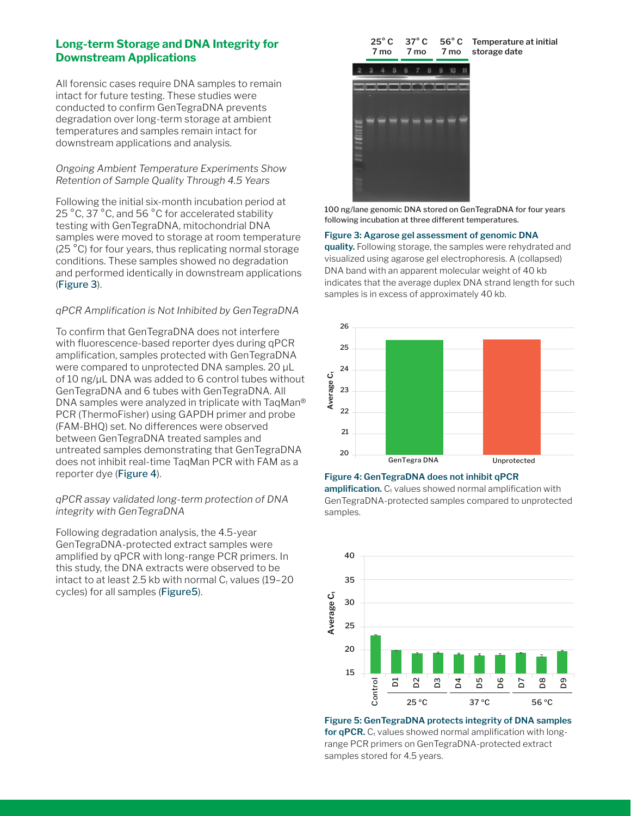### **Long-term Storage and DNA Integrity for Downstream Applications**

All forensic cases require DNA samples to remain intact for future testing. These studies were conducted to confirm GenTegraDNA prevents degradation over long-term storage at ambient temperatures and samples remain intact for downstream applications and analysis.

### *Ongoing Ambient Temperature Experiments Show Retention of Sample Quality Through 4.5 Years*

Following the initial six-month incubation period at 25 °C, 37 °C, and 56 °C for accelerated stability testing with GenTegraDNA, mitochondrial DNA samples were moved to storage at room temperature (25 °C) for four years, thus replicating normal storage conditions. These samples showed no degradation and performed identically in downstream applications (Figure 3).

### *qPCR Amplification is Not Inhibited by GenTegraDNA*

To confirm that GenTegraDNA does not interfere with fluorescence-based reporter dyes during qPCR amplification, samples protected with GenTegraDNA were compared to unprotected DNA samples. 20 μL of 10 ng/μL DNA was added to 6 control tubes without GenTegraDNA and 6 tubes with GenTegraDNA. All DNA samples were analyzed in triplicate with TaqMan® PCR (ThermoFisher) using GAPDH primer and probe (FAM-BHQ) set. No differences were observed between GenTegraDNA treated samples and untreated samples demonstrating that GenTegraDNA does not inhibit real-time TaqMan PCR with FAM as a reporter dye (Figure 4).

### *qPCR assay validated long-term protection of DNA integrity with GenTegraDNA*

Following degradation analysis, the 4.5-year GenTegraDNA-protected extract samples were amplified by qPCR with long-range PCR primers. In this study, the DNA extracts were observed to be intact to at least 2.5 kb with normal  $C<sub>t</sub>$  values (19-20 cycles) for all samples (Figure5).

| $25^{\circ}$ C | 37 $^{\circ}$ C | $56^{\circ}$ C Te |  |
|----------------|-----------------|-------------------|--|
| 7 mo           | 7 mo            | 7 most            |  |
|                |                 |                   |  |

**Temperature at initial storage date**



100 ng/lane genomic DNA stored on GenTegraDNA for four years following incubation at three different temperatures.

#### **Figure 3: Agarose gel assessment of genomic DNA**

**quality.** Following storage, the samples were rehydrated and visualized using agarose gel electrophoresis. A (collapsed) DNA band with an apparent molecular weight of 40 kb indicates that the average duplex DNA strand length for such samples is in excess of approximately 40 kb.



#### **Figure 4: GenTegraDNA does not inhibit qPCR**

amplification. C<sub>t</sub> values showed normal amplification with GenTegraDNA-protected samples compared to unprotected samples.



**Figure 5: GenTegraDNA protects integrity of DNA samples for qPCR.**  $C_t$  values showed normal amplification with longrange PCR primers on GenTegraDNA-protected extract samples stored for 4.5 years.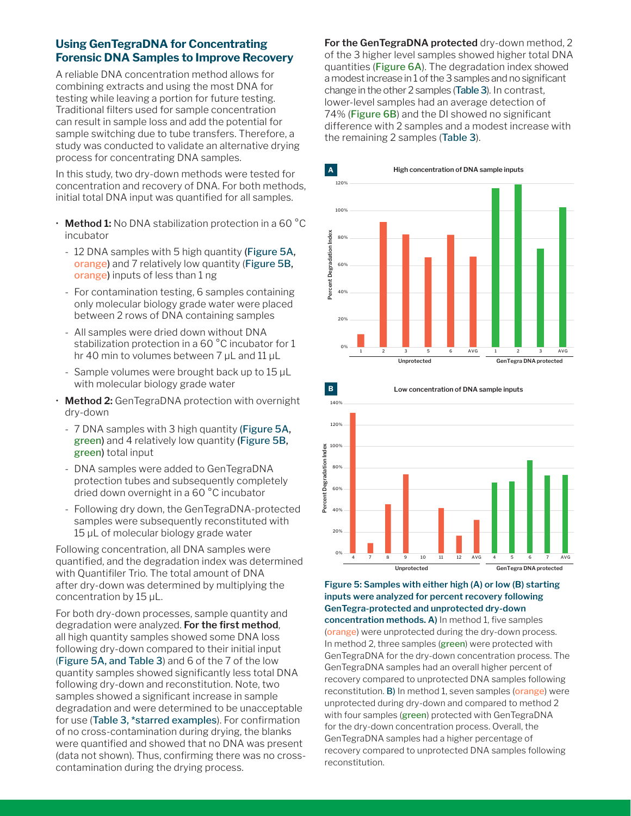# **Using GenTegraDNA for Concentrating Forensic DNA Samples to Improve Recovery**

A reliable DNA concentration method allows for combining extracts and using the most DNA for testing while leaving a portion for future testing. Traditional filters used for sample concentration can result in sample loss and add the potential for sample switching due to tube transfers. Therefore, a study was conducted to validate an alternative drying process for concentrating DNA samples.

In this study, two dry-down methods were tested for concentration and recovery of DNA. For both methods, initial total DNA input was quantified for all samples.

- **Method 1:** No DNA stabilization protection in a 60 °C incubator
	- 12 DNA samples with 5 high quantity (Figure 5A, orange) and 7 relatively low quantity (Figure 5B, orange) inputs of less than 1 ng
	- For contamination testing, 6 samples containing only molecular biology grade water were placed between 2 rows of DNA containing samples
	- All samples were dried down without DNA stabilization protection in a 60 °C incubator for 1 hr 40 min to volumes between 7 μL and 11 μL
	- Sample volumes were brought back up to 15 μL with molecular biology grade water
- **Method 2:** GenTegraDNA protection with overnight dry-down
	- 7 DNA samples with 3 high quantity (Figure 5A, green) and 4 relatively low quantity (Figure 5B, green) total input
	- DNA samples were added to GenTegraDNA protection tubes and subsequently completely dried down overnight in a 60 °C incubator
	- Following dry down, the GenTegraDNA-protected samples were subsequently reconstituted with 15 μL of molecular biology grade water

Following concentration, all DNA samples were quantified, and the degradation index was determined with Quantifiler Trio. The total amount of DNA after dry-down was determined by multiplying the concentration by 15 μL.

For both dry-down processes, sample quantity and degradation were analyzed. **For the first method**, all high quantity samples showed some DNA loss following dry-down compared to their initial input (Figure 5A, and Table 3) and 6 of the 7 of the low quantity samples showed significantly less total DNA following dry-down and reconstitution. Note, two samples showed a significant increase in sample degradation and were determined to be unacceptable for use (Table 3, \*starred examples). For confirmation of no cross-contamination during drying, the blanks were quantified and showed that no DNA was present (data not shown). Thus, confirming there was no crosscontamination during the drying process.

**For the GenTegraDNA protected** dry-down method, 2 of the 3 higher level samples showed higher total DNA quantities (Figure 6A). The degradation index showed a modest increase in 1 of the 3 samples and no significant change in the other 2 samples (Table 3). In contrast, lower-level samples had an average detection of 74% (Figure 6B) and the DI showed no significant difference with 2 samples and a modest increase with the remaining 2 samples (Table 3).





### **Figure 5: Samples with either high (A) or low (B) starting inputs were analyzed for percent recovery following GenTegra-protected and unprotected dry-down**

**concentration methods. A)** In method 1, five samples (orange) were unprotected during the dry-down process. In method 2, three samples (green) were protected with GenTegraDNA for the dry-down concentration process. The GenTegraDNA samples had an overall higher percent of recovery compared to unprotected DNA samples following reconstitution. B) In method 1, seven samples (orange) were unprotected during dry-down and compared to method 2 with four samples (green) protected with GenTegraDNA for the dry-down concentration process. Overall, the GenTegraDNA samples had a higher percentage of recovery compared to unprotected DNA samples following reconstitution.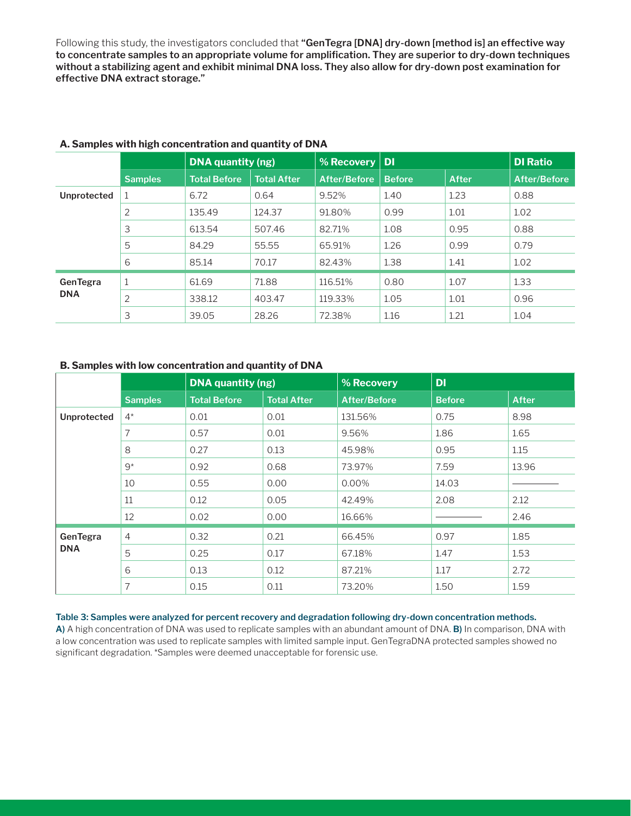Following this study, the investigators concluded that **"GenTegra [DNA] dry-down [method is] an effective way to concentrate samples to an appropriate volume for amplification. They are superior to dry-down techniques without a stabilizing agent and exhibit minimal DNA loss. They also allow for dry-down post examination for effective DNA extract storage."**

|                        |                | DNA quantity (ng)   |                    | % Recovery          | <b>DI</b>     |              | <b>DI Ratio</b>     |
|------------------------|----------------|---------------------|--------------------|---------------------|---------------|--------------|---------------------|
|                        | <b>Samples</b> | <b>Total Before</b> | <b>Total After</b> | <b>After/Before</b> | <b>Before</b> | <b>After</b> | <b>After/Before</b> |
| Unprotected            |                | 6.72                | 0.64               | 9.52%               | 1.40          | 1.23         | 0.88                |
|                        | 2              | 135.49              | 124.37             | 91.80%              | 0.99          | 1.01         | 1.02                |
|                        | 3              | 613.54              | 507.46             | 82.71%              | 1.08          | 0.95         | 0.88                |
|                        | 5              | 84.29               | 55.55              | 65.91%              | 1.26          | 0.99         | 0.79                |
|                        | 6              | 85.14               | 70.17              | 82.43%              | 1.38          | 1.41         | 1.02                |
| GenTegra<br><b>DNA</b> | $\mathbf{1}$   | 61.69               | 71.88              | 116.51%             | 0.80          | 1.07         | 1.33                |
|                        | $\overline{2}$ | 338.12              | 403.47             | 119.33%             | 1.05          | 1.01         | 0.96                |
|                        | 3              | 39.05               | 28.26              | 72.38%              | 1.16          | 1.21         | 1.04                |

### **A. Samples with high concentration and quantity of DNA**

### **B. Samples with low concentration and quantity of DNA**

|                        |                | <b>DNA</b> quantity (ng) |                    | % Recovery          | DI            |              |
|------------------------|----------------|--------------------------|--------------------|---------------------|---------------|--------------|
|                        | <b>Samples</b> | <b>Total Before</b>      | <b>Total After</b> | <b>After/Before</b> | <b>Before</b> | <b>After</b> |
| Unprotected            | $4^*$          | 0.01                     | 0.01               | 131.56%             | 0.75          | 8.98         |
|                        | 7              | 0.57                     | 0.01               | 9.56%               | 1.86          | 1.65         |
|                        | 8              | 0.27                     | 0.13               | 45.98%              | 0.95          | 1.15         |
|                        | $9*$           | 0.92                     | 0.68               | 73.97%              | 7.59          | 13.96        |
|                        | 10             | 0.55                     | 0.00               | 0.00%               | 14.03         |              |
|                        | 11             | 0.12                     | 0.05               | 42.49%              | 2.08          | 2.12         |
|                        | 12             | 0.02                     | 0.00               | 16.66%              |               | 2.46         |
| GenTegra<br><b>DNA</b> | $\overline{4}$ | 0.32                     | 0.21               | 66.45%              | 0.97          | 1.85         |
|                        | 5              | 0.25                     | 0.17               | 67.18%              | 1.47          | 1.53         |
|                        | 6              | 0.13                     | 0.12               | 87.21%              | 1.17          | 2.72         |
|                        | 7              | 0.15                     | 0.11               | 73.20%              | 1.50          | 1.59         |

### **Table 3: Samples were analyzed for percent recovery and degradation following dry-down concentration methods.**

**A)** A high concentration of DNA was used to replicate samples with an abundant amount of DNA. **B)** In comparison, DNA with a low concentration was used to replicate samples with limited sample input. GenTegraDNA protected samples showed no significant degradation. \*Samples were deemed unacceptable for forensic use.